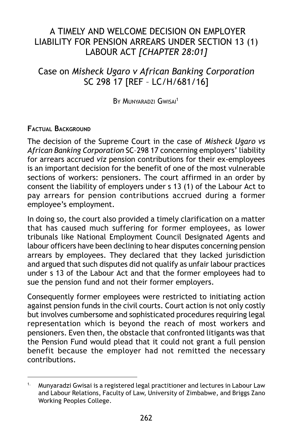# A TIMELY AND WELCOME DECISION ON EMPLOYER LIABILITY FOR PENSION ARREARS UNDER SECTION 13 (1) LABOUR ACT *[CHAPTER 28:01]*

# Case on *Misheck Ugaro v African Banking Corporation* SC 298 17 [REF – LC/H/681/16]

BY MUNYARADZI GWISAI<sup>1</sup>

### **FACTUAL BACKGROUND**

The decision of the Supreme Court in the case of *Misheck Ugaro vs African Banking Corporation* SC–298 17 concerning employers' liability for arrears accrued *viz* pension contributions for their ex-employees is an important decision for the benefit of one of the most vulnerable sections of workers: pensioners. The court affirmed in an order by consent the liability of employers under s 13 (1) of the Labour Act to pay arrears for pension contributions accrued during a former employee's employment.

In doing so, the court also provided a timely clarification on a matter that has caused much suffering for former employees, as lower tribunals like National Employment Council Designated Agents and labour officers have been declining to hear disputes concerning pension arrears by employees. They declared that they lacked jurisdiction and argued that such disputes did not qualify as unfair labour practices under s 13 of the Labour Act and that the former employees had to sue the pension fund and not their former employers.

Consequently former employees were restricted to initiating action against pension funds in the civil courts. Court action is not only costly but involves cumbersome and sophisticated procedures requiring legal representation which is beyond the reach of most workers and pensioners. Even then, the obstacle that confronted litigants was that the Pension Fund would plead that it could not grant a full pension benefit because the employer had not remitted the necessary contributions.

<sup>&</sup>lt;sup>1.</sup> Munyaradzi Gwisai is a registered legal practitioner and lectures in Labour Law and Labour Relations, Faculty of Law, University of Zimbabwe, and Briggs Zano Working Peoples College.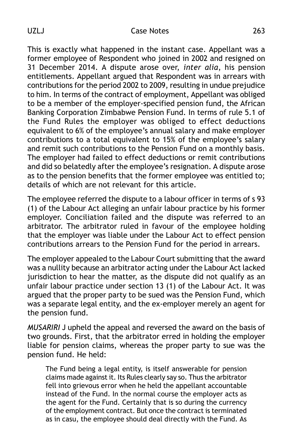#### UZLJ Case Notes 263

This is exactly what happened in the instant case. Appellant was a former employee of Respondent who joined in 2002 and resigned on 31 December 2014. A dispute arose over, *inter alia*, his pension entitlements. Appellant argued that Respondent was in arrears with contributions for the period 2002 to 2009, resulting in undue prejudice to him. In terms of the contract of employment, Appellant was obliged to be a member of the employer-specified pension fund, the African Banking Corporation Zimbabwe Pension Fund. In terms of rule 5.1 of the Fund Rules the employer was obliged to effect deductions equivalent to 6% of the employee's annual salary and make employer contributions to a total equivalent to 15% of the employee's salary and remit such contributions to the Pension Fund on a monthly basis. The employer had failed to effect deductions or remit contributions and did so belatedly after the employee's resignation. A dispute arose as to the pension benefits that the former employee was entitled to; details of which are not relevant for this article.

The employee referred the dispute to a labour officer in terms of s 93 (1) of the Labour Act alleging an unfair labour practice by his former employer. Conciliation failed and the dispute was referred to an arbitrator. The arbitrator ruled in favour of the employee holding that the employer was liable under the Labour Act to effect pension contributions arrears to the Pension Fund for the period in arrears.

The employer appealed to the Labour Court submitting that the award was a nullity because an arbitrator acting under the Labour Act lacked jurisdiction to hear the matter, as the dispute did not qualify as an unfair labour practice under section 13 (1) of the Labour Act. It was argued that the proper party to be sued was the Pension Fund, which was a separate legal entity, and the ex-employer merely an agent for the pension fund.

*MUSARIRI* J upheld the appeal and reversed the award on the basis of two grounds. First, that the arbitrator erred in holding the employer liable for pension claims, whereas the proper party to sue was the pension fund. He held:

The Fund being a legal entity, is itself answerable for pension claims made against it. Its Rules clearly say so. Thus the arbitrator fell into grievous error when he held the appellant accountable instead of the Fund. In the normal course the employer acts as the agent for the Fund. Certainly that is so during the currency of the employment contract. But once the contract is terminated as in casu, the employee should deal directly with the Fund. As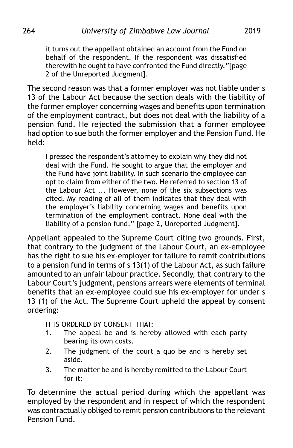it turns out the appellant obtained an account from the Fund on behalf of the respondent. If the respondent was dissatisfied therewith he ought to have confronted the Fund directly."[page 2 of the Unreported Judgment].

The second reason was that a former employer was not liable under s 13 of the Labour Act because the section deals with the liability of the former employer concerning wages and benefits upon termination of the employment contract, but does not deal with the liability of a pension fund. He rejected the submission that a former employee had option to sue both the former employer and the Pension Fund. He held:

I pressed the respondent's attorney to explain why they did not deal with the Fund. He sought to argue that the employer and the Fund have joint liability. In such scenario the employee can opt to claim from either of the two. He referred to section 13 of the Labour Act ... However, none of the six subsections was cited. My reading of all of them indicates that they deal with the employer's liability concerning wages and benefits upon termination of the employment contract. None deal with the liability of a pension fund." [page 2, Unreported Judgment].

Appellant appealed to the Supreme Court citing two grounds. First, that contrary to the judgment of the Labour Court, an ex-employee has the right to sue his ex-employer for failure to remit contributions to a pension fund in terms of s  $13(1)$  of the Labour Act, as such failure amounted to an unfair labour practice. Secondly, that contrary to the Labour Court's judgment, pensions arrears were elements of terminal benefits that an ex-employee could sue his ex-employer for under s 13 (1) of the Act. The Supreme Court upheld the appeal by consent ordering:

IT IS ORDERED BY CONSENT THAT:

- 1. The appeal be and is hereby allowed with each party bearing its own costs.
- 2. The judgment of the court a quo be and is hereby set aside.
- 3. The matter be and is hereby remitted to the Labour Court for  $it$

To determine the actual period during which the appellant was employed by the respondent and in respect of which the respondent was contractually obliged to remit pension contributions to the relevant Pension Fund.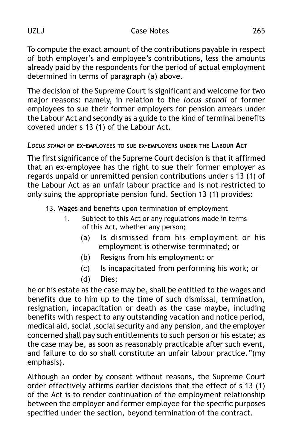UZLJ Case Notes 265

To compute the exact amount of the contributions payable in respect of both employer's and employee's contributions, less the amounts already paid by the respondents for the period of actual employment determined in terms of paragraph (a) above.

The decision of the Supreme Court is significant and welcome for two major reasons: namely, in relation to the *locus standi* of former employees to sue their former employers for pension arrears under the Labour Act and secondly as a guide to the kind of terminal benefits covered under s 13 (1) of the Labour Act.

## *LOCUS STANDI* **OF EX-EMPLOYEES TO SUE EX-EMPLOYERS UNDER THE LABOUR ACT**

The first significance of the Supreme Court decision is that it affirmed that an ex-employee has the right to sue their former employer as regards unpaid or unremitted pension contributions under s 13 (1) of the Labour Act as an unfair labour practice and is not restricted to only suing the appropriate pension fund. Section 13 (1) provides:

- 13. Wages and benefits upon termination of employment
	- 1. Subject to this Act or any regulations made in terms of this Act, whether any person;
		- (a) Is dismissed from his employment or his employment is otherwise terminated; or
		- (b) Resigns from his employment; or
		- (c) Is incapacitated from performing his work; or
		- (d) Dies;

he or his estate as the case may be, shall be entitled to the wages and benefits due to him up to the time of such dismissal, termination, resignation, incapacitation or death as the case maybe, including benefits with respect to any outstanding vacation and notice period, medical aid, social ,social security and any pension, and the employer concerned shall pay such entitlements to such person or his estate; as the case may be, as soon as reasonably practicable after such event, and failure to do so shall constitute an unfair labour practice."(my emphasis).

Although an order by consent without reasons, the Supreme Court order effectively affirms earlier decisions that the effect of s 13 (1) of the Act is to render continuation of the employment relationship between the employer and former employee for the specific purposes specified under the section, beyond termination of the contract.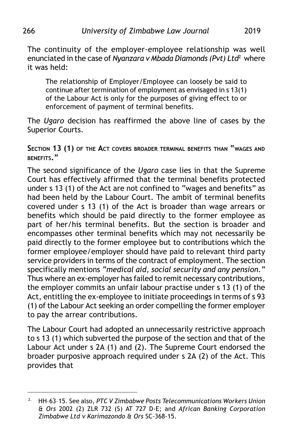The continuity of the employer-employee relationship was well enunciated in the case of *Nyanzara v Mbada Diamonds (Pvt) Ltd*2 where it was held:

The relationship of Employer/Employee can loosely be said to continue after termination of employment as envisaged in s 13(1) of the Labour Act is only for the purposes of giving effect to or enforcement of payment of terminal benefits.

The *Ugaro* decision has reaffirmed the above line of cases by the Superior Courts.

**SECTION 13 (1) OF THE ACT COVERS BROADER TERMINAL BENEFITS THAN "WAGES AND BENEFITS."**

The second significance of the *Ugaro* case lies in that the Supreme Court has effectively affirmed that the terminal benefits protected under s 13 (1) of the Act are not confined to "wages and benefits" as had been held by the Labour Court. The ambit of terminal benefits covered under s 13 (1) of the Act is broader than wage arrears or benefits which should be paid directly to the former employee as part of her/his terminal benefits. But the section is broader and encompasses other terminal benefits which may not necessarily be paid directly to the former employee but to contributions which the former employee/employer should have paid to relevant third party service providers in terms of the contract of employment. The section specifically mentions *"medical aid, social security and any pension."* Thus where an ex-employer has failed to remit necessary contributions, the employer commits an unfair labour practise under s 13 (1) of the Act, entitling the ex-employee to initiate proceedings in terms of s 93 (1) of the Labour Act seeking an order compelling the former employer to pay the arrear contributions.

The Labour Court had adopted an unnecessarily restrictive approach to s 13 (1) which subverted the purpose of the section and that of the Labour Act under s 2A (1) and (2). The Supreme Court endorsed the broader purposive approach required under s 2A (2) of the Act. This provides that

<sup>2.</sup> HH–63–15. See also, *PTC V Zimbabwe Posts Telecommunications Workers Union & Ors* 2002 (2) ZLR 732 (S) AT 727 D-E; and *African Banking Corporation Zimbabwe Ltd v Karimazondo & Ors* SC-368-15.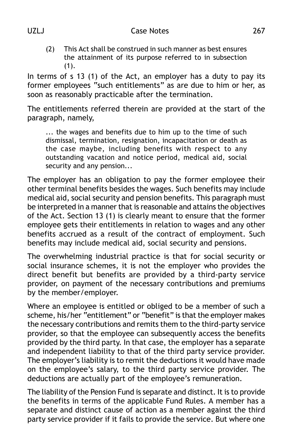(2) This Act shall be construed in such manner as best ensures the attainment of its purpose referred to in subsection (1).

In terms of s 13 (1) of the Act, an employer has a duty to pay its former employees "such entitlements" as are due to him or her, as soon as reasonably practicable after the termination.

The entitlements referred therein are provided at the start of the paragraph, namely,

... the wages and benefits due to him up to the time of such dismissal, termination, resignation, incapacitation or death as the case maybe, including benefits with respect to any outstanding vacation and notice period, medical aid, social security and any pension*...*

The employer has an obligation to pay the former employee their other terminal benefits besides the wages. Such benefits may include medical aid, social security and pension benefits. This paragraph must be interpreted in a manner that is reasonable and attains the objectives of the Act. Section 13 (1) is clearly meant to ensure that the former employee gets their entitlements in relation to wages and any other benefits accrued as a result of the contract of employment. Such benefits may include medical aid, social security and pensions.

The overwhelming industrial practice is that for social security or social insurance schemes, it is not the employer who provides the direct benefit but benefits are provided by a third-party service provider, on payment of the necessary contributions and premiums by the member/employer.

Where an employee is entitled or obliged to be a member of such a scheme, his/her "entitlement" or "benefit" is that the employer makes the necessary contributions and remits them to the third-party service provider, so that the employee can subsequently access the benefits provided by the third party. In that case, the employer has a separate and independent liability to that of the third party service provider. The employer's liability is to remit the deductions it would have made on the employee's salary, to the third party service provider. The deductions are actually part of the employee's remuneration.

The liability of the Pension Fund is separate and distinct. It is to provide the benefits in terms of the applicable Fund Rules. A member has a separate and distinct cause of action as a member against the third party service provider if it fails to provide the service. But where one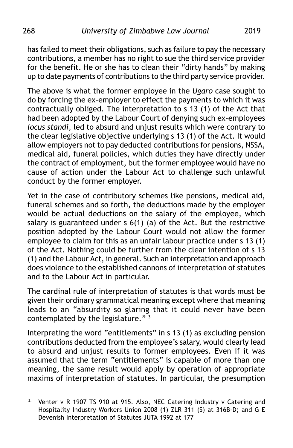has failed to meet their obligations, such as failure to pay the necessary contributions, a member has no right to sue the third service provider for the benefit. He or she has to clean their "dirty hands" by making up to date payments of contributions to the third party service provider.

The above is what the former employee in the *Ugaro* case sought to do by forcing the ex-employer to effect the payments to which it was contractually obliged. The interpretation to s 13 (1) of the Act that had been adopted by the Labour Court of denying such ex-employees *locus standi*, led to absurd and unjust results which were contrary to the clear legislative objective underlying s 13 (1) of the Act. It would allow employers not to pay deducted contributions for pensions, NSSA, medical aid, funeral policies, which duties they have directly under the contract of employment, but the former employee would have no cause of action under the Labour Act to challenge such unlawful conduct by the former employer.

Yet in the case of contributory schemes like pensions, medical aid, funeral schemes and so forth, the deductions made by the employer would be actual deductions on the salary of the employee, which salary is guaranteed under s 6(1) (a) of the Act. But the restrictive position adopted by the Labour Court would not allow the former employee to claim for this as an unfair labour practice under s 13 (1) of the Act. Nothing could be further from the clear intention of s 13 (1) and the Labour Act, in general. Such an interpretation and approach does violence to the established cannons of interpretation of statutes and to the Labour Act in particular.

The cardinal rule of interpretation of statutes is that words must be given their ordinary grammatical meaning except where that meaning leads to an "absurdity so glaring that it could never have been contemplated by the legislature."<sup>3</sup>

Interpreting the word "entitlements" in s 13 (1) as excluding pension contributions deducted from the employee's salary, would clearly lead to absurd and unjust results to former employees. Even if it was assumed that the term "entitlements" is capable of more than one meaning, the same result would apply by operation of appropriate maxims of interpretation of statutes. In particular, the presumption

<sup>&</sup>lt;sup>3.</sup> Venter v R 1907 TS 910 at 915. Also, NEC Catering Industry v Catering and Hospitality Industry Workers Union 2008 (1) ZLR 311 (S) at 316B-D; and G E Devenish Interpretation of Statutes JUTA 1992 at 177